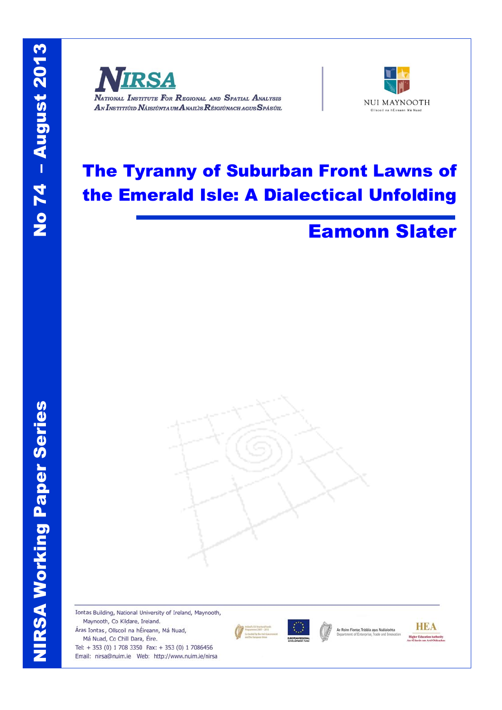



# The Tyranny of Suburban Front Lawns of the Emerald Isle: A Dialectical Unfolding

## Eamonn Slater



Iontas Building, National University of Ireland, Maynooth, Maynooth, Co Kildare, Ireland. Áras Iontas, Ollscoil na hÉireann, Má Nuad, Má Nuad, Co Chill Dara, Éire. Tel: + 353 (0) 1 708 3350 Fax: + 353 (0) 1 7086456 Email: nirsa@nuim.ie Web: http://www.nuim.ie/nirsa



.<br>An Roinn Fiontar, Trádála agus Nu



**NIRSA Working Paper Series** NIRSA Working Paper Series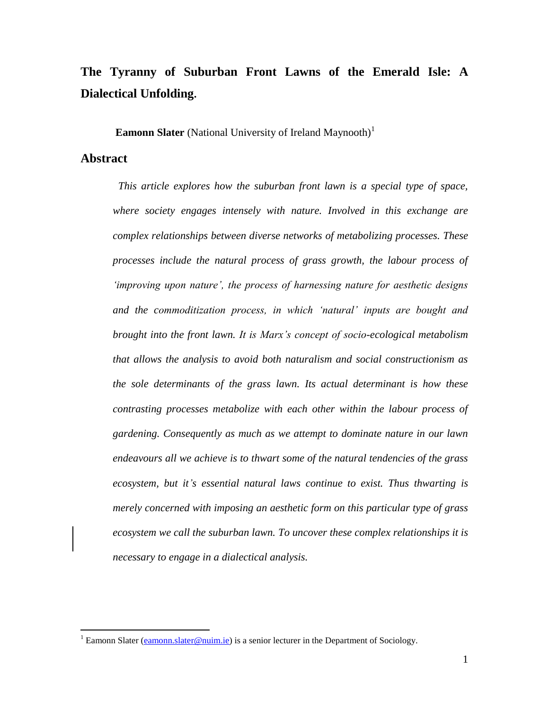### **The Tyranny of Suburban Front Lawns of the Emerald Isle: A Dialectical Unfolding.**

**Eamonn Slater** (National University of Ireland Maynooth)<sup>1</sup>

#### **Abstract**

 $\overline{a}$ 

*This article explores how the suburban front lawn is a special type of space, where society engages intensely with nature. Involved in this exchange are complex relationships between diverse networks of metabolizing processes. These processes include the natural process of grass growth, the labour process of 'improving upon nature', the process of harnessing nature for aesthetic designs and the commoditization process, in which 'natural' inputs are bought and brought into the front lawn. It is Marx's concept of socio-ecological metabolism that allows the analysis to avoid both naturalism and social constructionism as the sole determinants of the grass lawn. Its actual determinant is how these contrasting processes metabolize with each other within the labour process of gardening. Consequently as much as we attempt to dominate nature in our lawn endeavours all we achieve is to thwart some of the natural tendencies of the grass ecosystem, but it's essential natural laws continue to exist. Thus thwarting is merely concerned with imposing an aesthetic form on this particular type of grass ecosystem we call the suburban lawn. To uncover these complex relationships it is necessary to engage in a dialectical analysis.*

<sup>&</sup>lt;sup>1</sup> Eamonn Slater [\(eamonn.slater@nuim.ie\)](mailto:eamonn.slater@nuim.ie) is a senior lecturer in the Department of Sociology.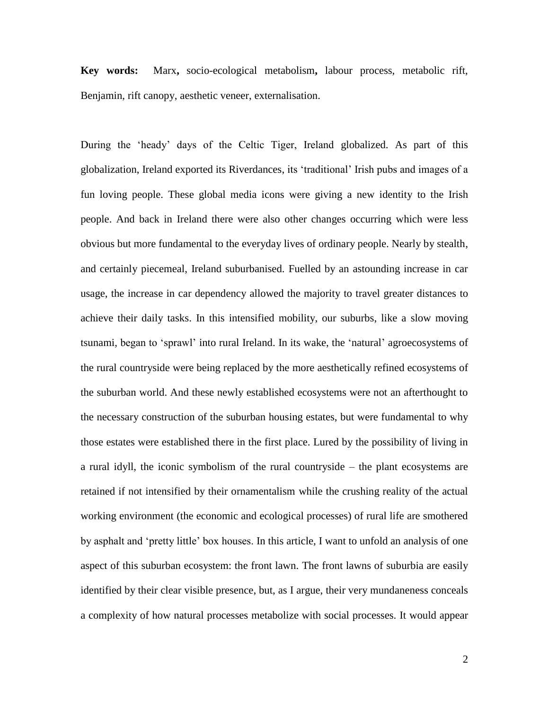**Key words:** Marx**,** socio-ecological metabolism**,** labour process, metabolic rift, Benjamin, rift canopy, aesthetic veneer, externalisation.

During the 'heady' days of the Celtic Tiger, Ireland globalized. As part of this globalization, Ireland exported its Riverdances, its 'traditional' Irish pubs and images of a fun loving people. These global media icons were giving a new identity to the Irish people. And back in Ireland there were also other changes occurring which were less obvious but more fundamental to the everyday lives of ordinary people. Nearly by stealth, and certainly piecemeal, Ireland suburbanised. Fuelled by an astounding increase in car usage, the increase in car dependency allowed the majority to travel greater distances to achieve their daily tasks. In this intensified mobility, our suburbs, like a slow moving tsunami, began to 'sprawl' into rural Ireland. In its wake, the 'natural' agroecosystems of the rural countryside were being replaced by the more aesthetically refined ecosystems of the suburban world. And these newly established ecosystems were not an afterthought to the necessary construction of the suburban housing estates, but were fundamental to why those estates were established there in the first place. Lured by the possibility of living in a rural idyll, the iconic symbolism of the rural countryside – the plant ecosystems are retained if not intensified by their ornamentalism while the crushing reality of the actual working environment (the economic and ecological processes) of rural life are smothered by asphalt and 'pretty little' box houses. In this article, I want to unfold an analysis of one aspect of this suburban ecosystem: the front lawn. The front lawns of suburbia are easily identified by their clear visible presence, but, as I argue, their very mundaneness conceals a complexity of how natural processes metabolize with social processes. It would appear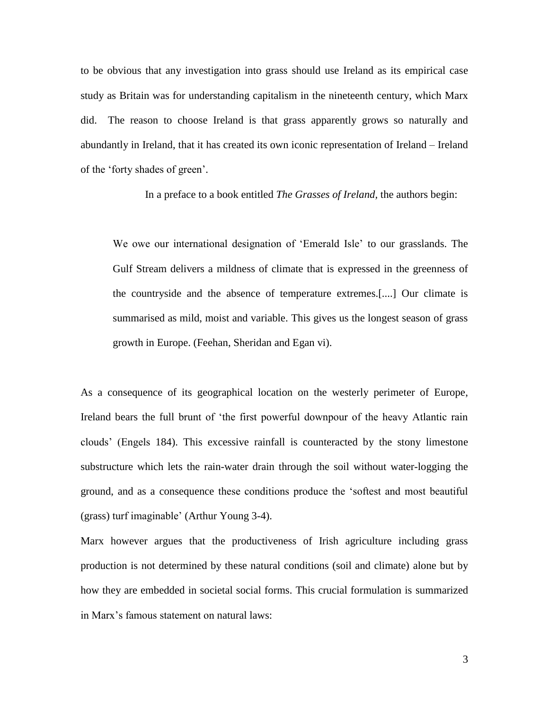to be obvious that any investigation into grass should use Ireland as its empirical case study as Britain was for understanding capitalism in the nineteenth century, which Marx did. The reason to choose Ireland is that grass apparently grows so naturally and abundantly in Ireland, that it has created its own iconic representation of Ireland – Ireland of the 'forty shades of green'.

In a preface to a book entitled *The Grasses of Ireland,* the authors begin:

We owe our international designation of 'Emerald Isle' to our grasslands. The Gulf Stream delivers a mildness of climate that is expressed in the greenness of the countryside and the absence of temperature extremes.[....] Our climate is summarised as mild, moist and variable. This gives us the longest season of grass growth in Europe. (Feehan, Sheridan and Egan vi).

As a consequence of its geographical location on the westerly perimeter of Europe, Ireland bears the full brunt of 'the first powerful downpour of the heavy Atlantic rain clouds' (Engels 184). This excessive rainfall is counteracted by the stony limestone substructure which lets the rain-water drain through the soil without water-logging the ground, and as a consequence these conditions produce the 'softest and most beautiful (grass) turf imaginable' (Arthur Young 3-4).

Marx however argues that the productiveness of Irish agriculture including grass production is not determined by these natural conditions (soil and climate) alone but by how they are embedded in societal social forms. This crucial formulation is summarized in Marx's famous statement on natural laws: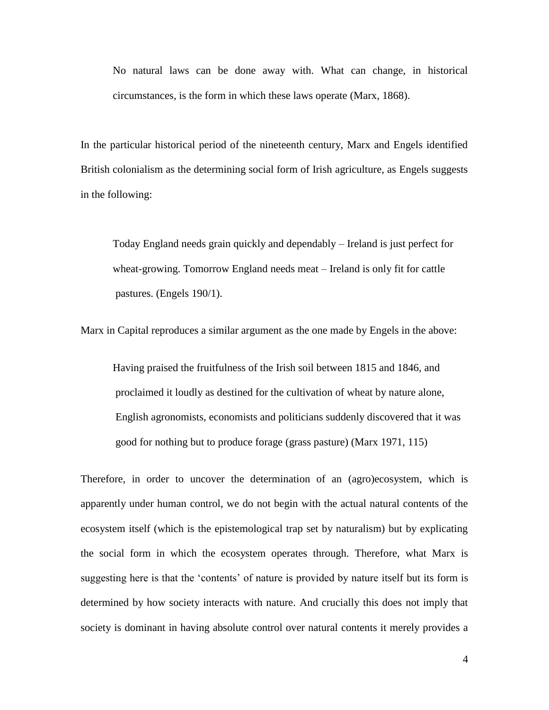No natural laws can be done away with. What can change, in historical circumstances, is the form in which these laws operate (Marx, 1868).

In the particular historical period of the nineteenth century, Marx and Engels identified British colonialism as the determining social form of Irish agriculture, as Engels suggests in the following:

Today England needs grain quickly and dependably – Ireland is just perfect for wheat-growing. Tomorrow England needs meat – Ireland is only fit for cattle pastures. (Engels 190/1).

Marx in Capital reproduces a similar argument as the one made by Engels in the above:

Having praised the fruitfulness of the Irish soil between 1815 and 1846, and proclaimed it loudly as destined for the cultivation of wheat by nature alone, English agronomists, economists and politicians suddenly discovered that it was good for nothing but to produce forage (grass pasture) (Marx 1971, 115)

Therefore, in order to uncover the determination of an (agro)ecosystem, which is apparently under human control, we do not begin with the actual natural contents of the ecosystem itself (which is the epistemological trap set by naturalism) but by explicating the social form in which the ecosystem operates through. Therefore, what Marx is suggesting here is that the 'contents' of nature is provided by nature itself but its form is determined by how society interacts with nature. And crucially this does not imply that society is dominant in having absolute control over natural contents it merely provides a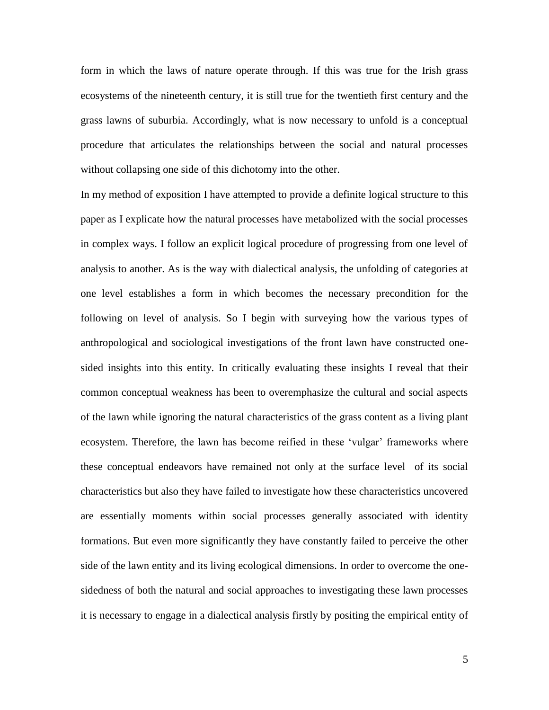form in which the laws of nature operate through. If this was true for the Irish grass ecosystems of the nineteenth century, it is still true for the twentieth first century and the grass lawns of suburbia. Accordingly, what is now necessary to unfold is a conceptual procedure that articulates the relationships between the social and natural processes without collapsing one side of this dichotomy into the other.

In my method of exposition I have attempted to provide a definite logical structure to this paper as I explicate how the natural processes have metabolized with the social processes in complex ways. I follow an explicit logical procedure of progressing from one level of analysis to another. As is the way with dialectical analysis, the unfolding of categories at one level establishes a form in which becomes the necessary precondition for the following on level of analysis. So I begin with surveying how the various types of anthropological and sociological investigations of the front lawn have constructed onesided insights into this entity. In critically evaluating these insights I reveal that their common conceptual weakness has been to overemphasize the cultural and social aspects of the lawn while ignoring the natural characteristics of the grass content as a living plant ecosystem. Therefore, the lawn has become reified in these 'vulgar' frameworks where these conceptual endeavors have remained not only at the surface level of its social characteristics but also they have failed to investigate how these characteristics uncovered are essentially moments within social processes generally associated with identity formations. But even more significantly they have constantly failed to perceive the other side of the lawn entity and its living ecological dimensions. In order to overcome the onesidedness of both the natural and social approaches to investigating these lawn processes it is necessary to engage in a dialectical analysis firstly by positing the empirical entity of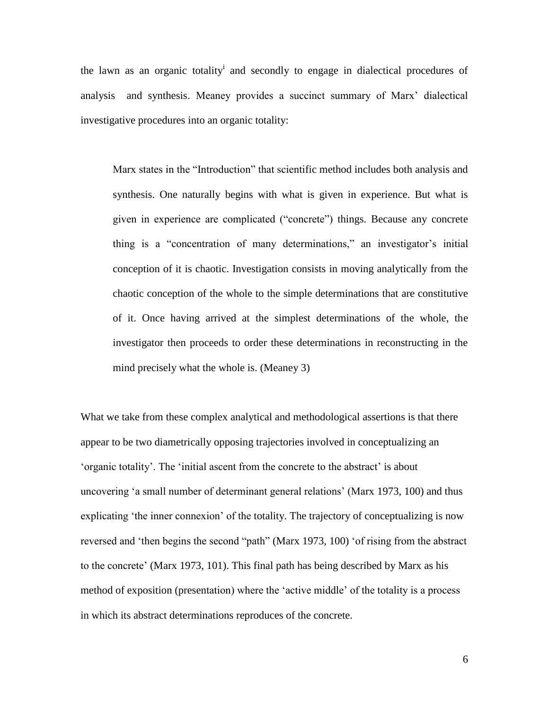the lawn as an organic totality<sup>i</sup> and secondly to engage in dialectical procedures of analysis and synthesis. Meaney provides a succinct summary of Marx' dialectical investigative procedures into an organic totality:

Marx states in the "Introduction" that scientific method includes both analysis and synthesis. One naturally begins with what is given in experience. But what is given in experience are complicated ("concrete") things. Because any concrete thing is a "concentration of many determinations," an investigator's initial conception of it is chaotic. Investigation consists in moving analytically from the chaotic conception of the whole to the simple determinations that are constitutive of it. Once having arrived at the simplest determinations of the whole, the investigator then proceeds to order these determinations in reconstructing in the mind precisely what the whole is. (Meaney 3)

What we take from these complex analytical and methodological assertions is that there appear to be two diametrically opposing trajectories involved in conceptualizing an 'organic totality'. The 'initial ascent from the concrete to the abstract' is about uncovering 'a small number of determinant general relations' (Marx 1973, 100) and thus explicating 'the inner connexion' of the totality. The trajectory of conceptualizing is now reversed and 'then begins the second "path" (Marx 1973, 100) 'of rising from the abstract to the concrete' (Marx 1973, 101). This final path has being described by Marx as his method of exposition (presentation) where the 'active middle' of the totality is a process in which its abstract determinations reproduces of the concrete.

6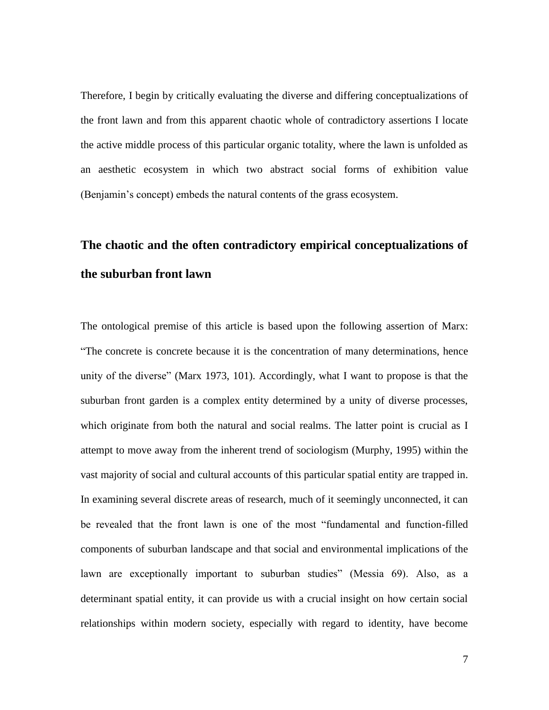Therefore, I begin by critically evaluating the diverse and differing conceptualizations of the front lawn and from this apparent chaotic whole of contradictory assertions I locate the active middle process of this particular organic totality, where the lawn is unfolded as an aesthetic ecosystem in which two abstract social forms of exhibition value (Benjamin's concept) embeds the natural contents of the grass ecosystem.

### **The chaotic and the often contradictory empirical conceptualizations of the suburban front lawn**

The ontological premise of this article is based upon the following assertion of Marx: "The concrete is concrete because it is the concentration of many determinations, hence unity of the diverse" (Marx 1973, 101). Accordingly, what I want to propose is that the suburban front garden is a complex entity determined by a unity of diverse processes, which originate from both the natural and social realms. The latter point is crucial as I attempt to move away from the inherent trend of sociologism (Murphy, 1995) within the vast majority of social and cultural accounts of this particular spatial entity are trapped in. In examining several discrete areas of research, much of it seemingly unconnected, it can be revealed that the front lawn is one of the most "fundamental and function-filled components of suburban landscape and that social and environmental implications of the lawn are exceptionally important to suburban studies" (Messia 69). Also, as a determinant spatial entity, it can provide us with a crucial insight on how certain social relationships within modern society, especially with regard to identity, have become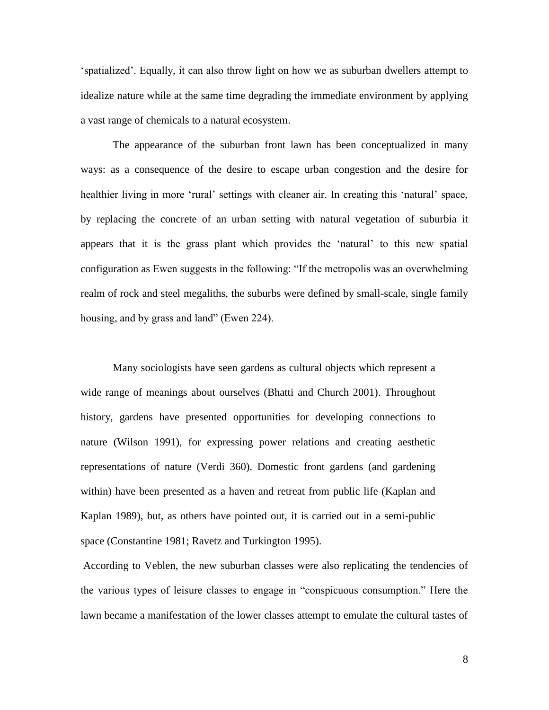'spatialized'. Equally, it can also throw light on how we as suburban dwellers attempt to idealize nature while at the same time degrading the immediate environment by applying a vast range of chemicals to a natural ecosystem.

The appearance of the suburban front lawn has been conceptualized in many ways: as a consequence of the desire to escape urban congestion and the desire for healthier living in more 'rural' settings with cleaner air. In creating this 'natural' space, by replacing the concrete of an urban setting with natural vegetation of suburbia it appears that it is the grass plant which provides the 'natural' to this new spatial configuration as Ewen suggests in the following: "If the metropolis was an overwhelming realm of rock and steel megaliths, the suburbs were defined by small-scale, single family housing, and by grass and land" (Ewen 224).

Many sociologists have seen gardens as cultural objects which represent a wide range of meanings about ourselves (Bhatti and Church 2001). Throughout history, gardens have presented opportunities for developing connections to nature (Wilson 1991), for expressing power relations and creating aesthetic representations of nature (Verdi 360). Domestic front gardens (and gardening within) have been presented as a haven and retreat from public life (Kaplan and Kaplan 1989), but, as others have pointed out, it is carried out in a semi-public space (Constantine 1981; Ravetz and Turkington 1995).

According to Veblen, the new suburban classes were also replicating the tendencies of the various types of leisure classes to engage in "conspicuous consumption." Here the lawn became a manifestation of the lower classes attempt to emulate the cultural tastes of

8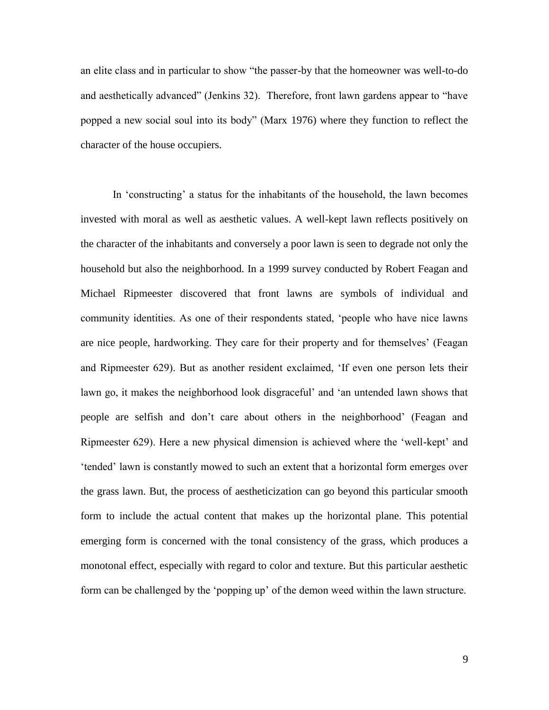an elite class and in particular to show "the passer-by that the homeowner was well-to-do and aesthetically advanced" (Jenkins 32). Therefore, front lawn gardens appear to "have popped a new social soul into its body" (Marx 1976) where they function to reflect the character of the house occupiers.

In 'constructing' a status for the inhabitants of the household, the lawn becomes invested with moral as well as aesthetic values. A well-kept lawn reflects positively on the character of the inhabitants and conversely a poor lawn is seen to degrade not only the household but also the neighborhood. In a 1999 survey conducted by Robert Feagan and Michael Ripmeester discovered that front lawns are symbols of individual and community identities. As one of their respondents stated, 'people who have nice lawns are nice people, hardworking. They care for their property and for themselves' (Feagan and Ripmeester 629). But as another resident exclaimed, 'If even one person lets their lawn go, it makes the neighborhood look disgraceful' and 'an untended lawn shows that people are selfish and don't care about others in the neighborhood' (Feagan and Ripmeester 629). Here a new physical dimension is achieved where the 'well-kept' and 'tended' lawn is constantly mowed to such an extent that a horizontal form emerges over the grass lawn. But, the process of aestheticization can go beyond this particular smooth form to include the actual content that makes up the horizontal plane. This potential emerging form is concerned with the tonal consistency of the grass, which produces a monotonal effect, especially with regard to color and texture. But this particular aesthetic form can be challenged by the 'popping up' of the demon weed within the lawn structure.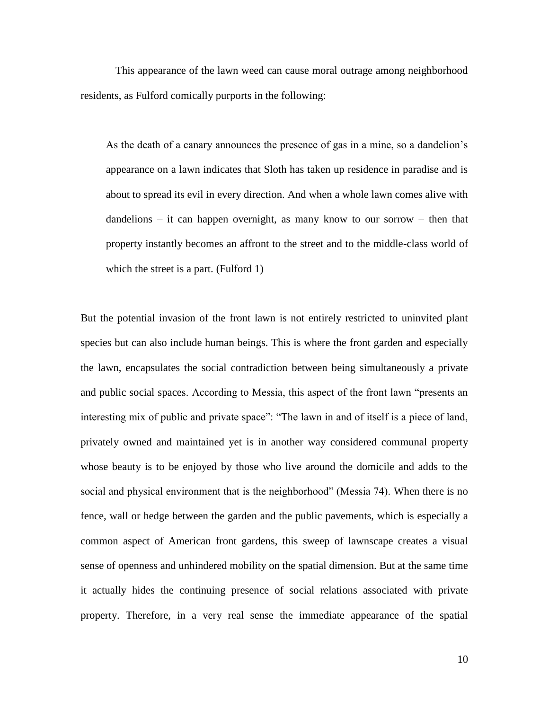This appearance of the lawn weed can cause moral outrage among neighborhood residents, as Fulford comically purports in the following:

As the death of a canary announces the presence of gas in a mine, so a dandelion's appearance on a lawn indicates that Sloth has taken up residence in paradise and is about to spread its evil in every direction. And when a whole lawn comes alive with dandelions – it can happen overnight, as many know to our sorrow – then that property instantly becomes an affront to the street and to the middle-class world of which the street is a part. (Fulford 1)

But the potential invasion of the front lawn is not entirely restricted to uninvited plant species but can also include human beings. This is where the front garden and especially the lawn, encapsulates the social contradiction between being simultaneously a private and public social spaces. According to Messia, this aspect of the front lawn "presents an interesting mix of public and private space": "The lawn in and of itself is a piece of land, privately owned and maintained yet is in another way considered communal property whose beauty is to be enjoyed by those who live around the domicile and adds to the social and physical environment that is the neighborhood" (Messia 74). When there is no fence, wall or hedge between the garden and the public pavements, which is especially a common aspect of American front gardens, this sweep of lawnscape creates a visual sense of openness and unhindered mobility on the spatial dimension. But at the same time it actually hides the continuing presence of social relations associated with private property. Therefore, in a very real sense the immediate appearance of the spatial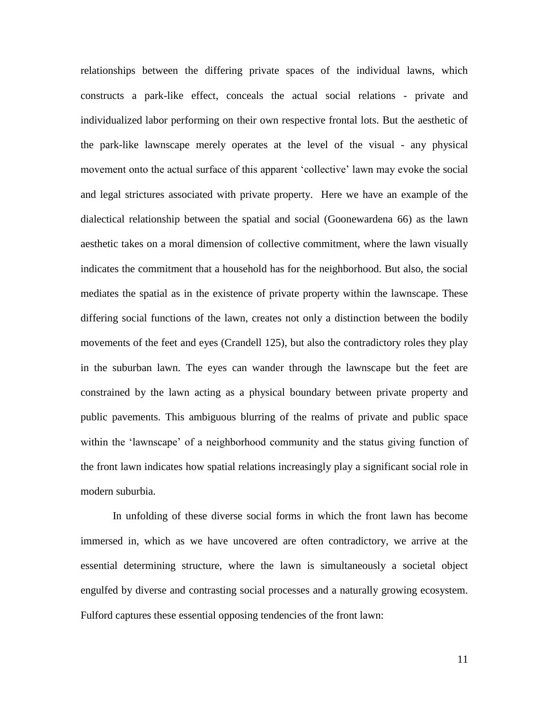relationships between the differing private spaces of the individual lawns, which constructs a park-like effect, conceals the actual social relations - private and individualized labor performing on their own respective frontal lots. But the aesthetic of the park-like lawnscape merely operates at the level of the visual - any physical movement onto the actual surface of this apparent 'collective' lawn may evoke the social and legal strictures associated with private property. Here we have an example of the dialectical relationship between the spatial and social (Goonewardena 66) as the lawn aesthetic takes on a moral dimension of collective commitment, where the lawn visually indicates the commitment that a household has for the neighborhood. But also, the social mediates the spatial as in the existence of private property within the lawnscape. These differing social functions of the lawn, creates not only a distinction between the bodily movements of the feet and eyes (Crandell 125), but also the contradictory roles they play in the suburban lawn. The eyes can wander through the lawnscape but the feet are constrained by the lawn acting as a physical boundary between private property and public pavements. This ambiguous blurring of the realms of private and public space within the 'lawnscape' of a neighborhood community and the status giving function of the front lawn indicates how spatial relations increasingly play a significant social role in modern suburbia.

In unfolding of these diverse social forms in which the front lawn has become immersed in, which as we have uncovered are often contradictory, we arrive at the essential determining structure, where the lawn is simultaneously a societal object engulfed by diverse and contrasting social processes and a naturally growing ecosystem. Fulford captures these essential opposing tendencies of the front lawn: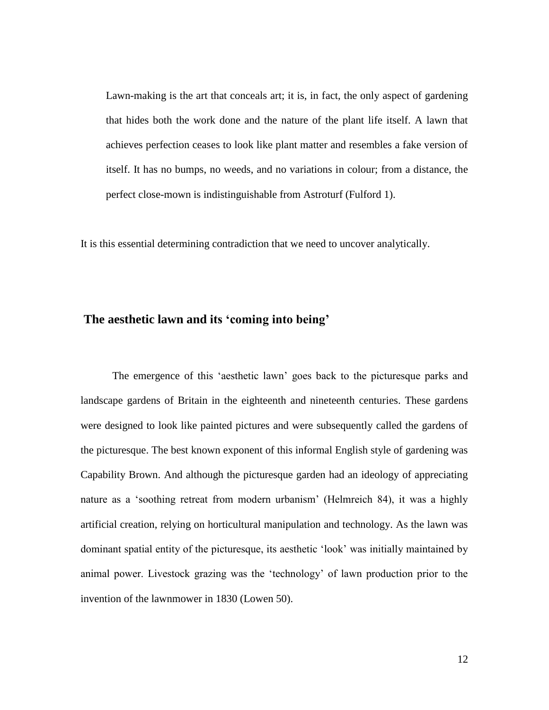Lawn-making is the art that conceals art; it is, in fact, the only aspect of gardening that hides both the work done and the nature of the plant life itself. A lawn that achieves perfection ceases to look like plant matter and resembles a fake version of itself. It has no bumps, no weeds, and no variations in colour; from a distance, the perfect close-mown is indistinguishable from Astroturf (Fulford 1).

It is this essential determining contradiction that we need to uncover analytically.

#### **The aesthetic lawn and its 'coming into being'**

The emergence of this 'aesthetic lawn' goes back to the picturesque parks and landscape gardens of Britain in the eighteenth and nineteenth centuries. These gardens were designed to look like painted pictures and were subsequently called the gardens of the picturesque. The best known exponent of this informal English style of gardening was Capability Brown. And although the picturesque garden had an ideology of appreciating nature as a 'soothing retreat from modern urbanism' (Helmreich 84), it was a highly artificial creation, relying on horticultural manipulation and technology. As the lawn was dominant spatial entity of the picturesque, its aesthetic 'look' was initially maintained by animal power. Livestock grazing was the 'technology' of lawn production prior to the invention of the lawnmower in 1830 (Lowen 50).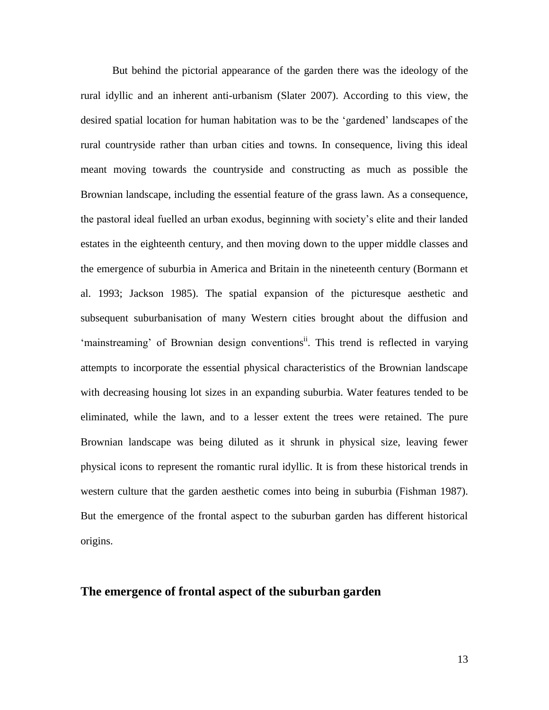But behind the pictorial appearance of the garden there was the ideology of the rural idyllic and an inherent anti-urbanism (Slater 2007). According to this view, the desired spatial location for human habitation was to be the 'gardened' landscapes of the rural countryside rather than urban cities and towns. In consequence, living this ideal meant moving towards the countryside and constructing as much as possible the Brownian landscape, including the essential feature of the grass lawn. As a consequence, the pastoral ideal fuelled an urban exodus, beginning with society's elite and their landed estates in the eighteenth century, and then moving down to the upper middle classes and the emergence of suburbia in America and Britain in the nineteenth century (Bormann et al. 1993; Jackson 1985). The spatial expansion of the picturesque aesthetic and subsequent suburbanisation of many Western cities brought about the diffusion and 'mainstreaming' of Brownian design conventions<sup>ii</sup>. This trend is reflected in varying attempts to incorporate the essential physical characteristics of the Brownian landscape with decreasing housing lot sizes in an expanding suburbia. Water features tended to be eliminated, while the lawn, and to a lesser extent the trees were retained. The pure Brownian landscape was being diluted as it shrunk in physical size, leaving fewer physical icons to represent the romantic rural idyllic. It is from these historical trends in western culture that the garden aesthetic comes into being in suburbia (Fishman 1987). But the emergence of the frontal aspect to the suburban garden has different historical origins.

### **The emergence of frontal aspect of the suburban garden**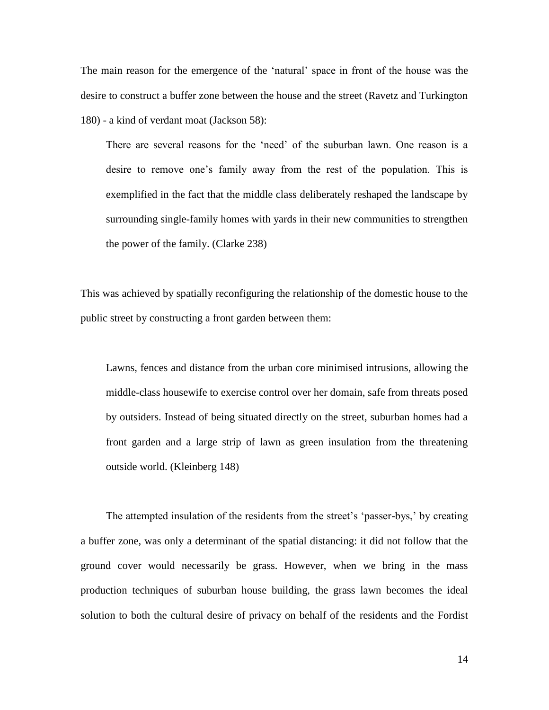The main reason for the emergence of the 'natural' space in front of the house was the desire to construct a buffer zone between the house and the street (Ravetz and Turkington 180) - a kind of verdant moat (Jackson 58):

There are several reasons for the 'need' of the suburban lawn. One reason is a desire to remove one's family away from the rest of the population. This is exemplified in the fact that the middle class deliberately reshaped the landscape by surrounding single-family homes with yards in their new communities to strengthen the power of the family. (Clarke 238)

This was achieved by spatially reconfiguring the relationship of the domestic house to the public street by constructing a front garden between them:

Lawns, fences and distance from the urban core minimised intrusions, allowing the middle-class housewife to exercise control over her domain, safe from threats posed by outsiders. Instead of being situated directly on the street, suburban homes had a front garden and a large strip of lawn as green insulation from the threatening outside world. (Kleinberg 148)

The attempted insulation of the residents from the street's 'passer-bys,' by creating a buffer zone, was only a determinant of the spatial distancing: it did not follow that the ground cover would necessarily be grass. However, when we bring in the mass production techniques of suburban house building, the grass lawn becomes the ideal solution to both the cultural desire of privacy on behalf of the residents and the Fordist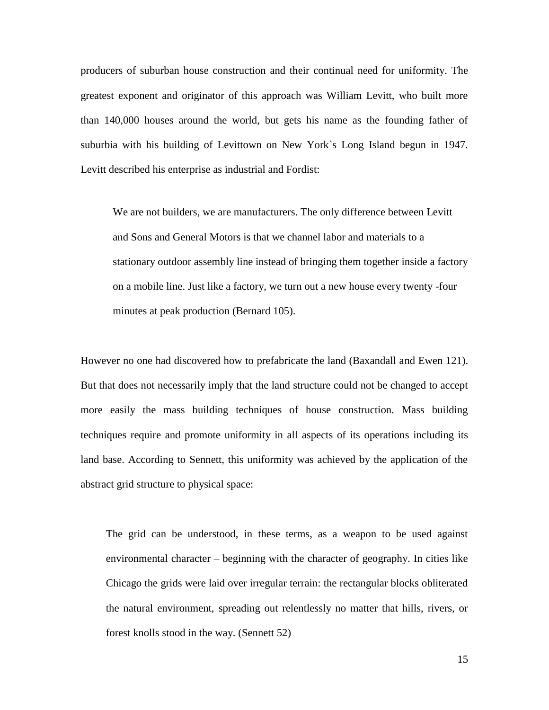producers of suburban house construction and their continual need for uniformity. The greatest exponent and originator of this approach was William Levitt, who built more than 140,000 houses around the world, but gets his name as the founding father of suburbia with his building of Levittown on New York`s Long Island begun in 1947. Levitt described his enterprise as industrial and Fordist:

We are not builders, we are manufacturers. The only difference between Levitt and Sons and General Motors is that we channel labor and materials to a stationary outdoor assembly line instead of bringing them together inside a factory on a mobile line. Just like a factory, we turn out a new house every twenty -four minutes at peak production (Bernard 105).

However no one had discovered how to prefabricate the land (Baxandall and Ewen 121). But that does not necessarily imply that the land structure could not be changed to accept more easily the mass building techniques of house construction. Mass building techniques require and promote uniformity in all aspects of its operations including its land base. According to Sennett, this uniformity was achieved by the application of the abstract grid structure to physical space:

The grid can be understood, in these terms, as a weapon to be used against environmental character – beginning with the character of geography. In cities like Chicago the grids were laid over irregular terrain: the rectangular blocks obliterated the natural environment, spreading out relentlessly no matter that hills, rivers, or forest knolls stood in the way. (Sennett 52)

15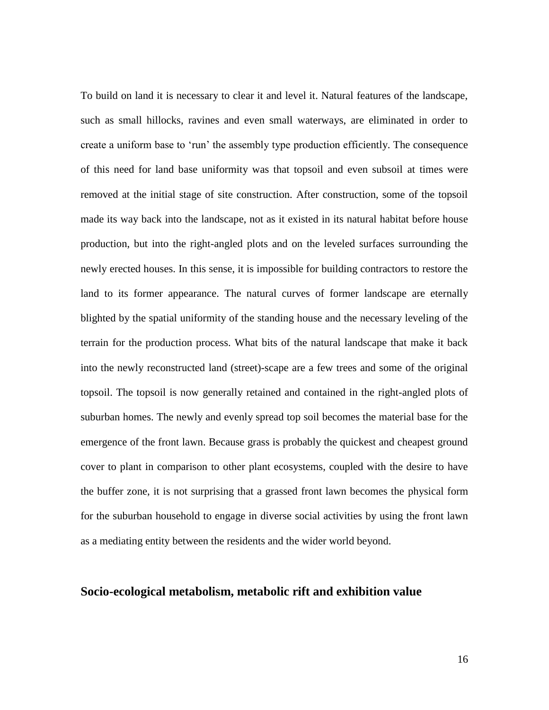To build on land it is necessary to clear it and level it. Natural features of the landscape, such as small hillocks, ravines and even small waterways, are eliminated in order to create a uniform base to 'run' the assembly type production efficiently. The consequence of this need for land base uniformity was that topsoil and even subsoil at times were removed at the initial stage of site construction. After construction, some of the topsoil made its way back into the landscape, not as it existed in its natural habitat before house production, but into the right-angled plots and on the leveled surfaces surrounding the newly erected houses. In this sense, it is impossible for building contractors to restore the land to its former appearance. The natural curves of former landscape are eternally blighted by the spatial uniformity of the standing house and the necessary leveling of the terrain for the production process. What bits of the natural landscape that make it back into the newly reconstructed land (street)-scape are a few trees and some of the original topsoil. The topsoil is now generally retained and contained in the right-angled plots of suburban homes. The newly and evenly spread top soil becomes the material base for the emergence of the front lawn. Because grass is probably the quickest and cheapest ground cover to plant in comparison to other plant ecosystems, coupled with the desire to have the buffer zone, it is not surprising that a grassed front lawn becomes the physical form for the suburban household to engage in diverse social activities by using the front lawn as a mediating entity between the residents and the wider world beyond.

#### **Socio-ecological metabolism, metabolic rift and exhibition value**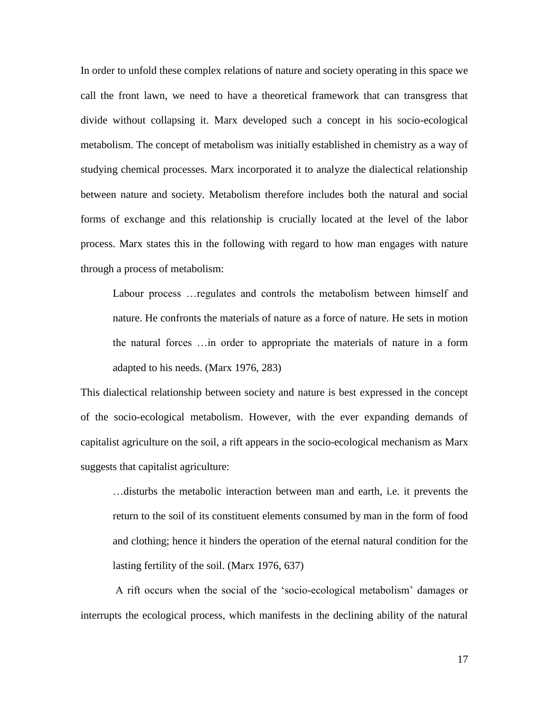In order to unfold these complex relations of nature and society operating in this space we call the front lawn, we need to have a theoretical framework that can transgress that divide without collapsing it. Marx developed such a concept in his socio-ecological metabolism. The concept of metabolism was initially established in chemistry as a way of studying chemical processes. Marx incorporated it to analyze the dialectical relationship between nature and society. Metabolism therefore includes both the natural and social forms of exchange and this relationship is crucially located at the level of the labor process. Marx states this in the following with regard to how man engages with nature through a process of metabolism:

Labour process …regulates and controls the metabolism between himself and nature. He confronts the materials of nature as a force of nature. He sets in motion the natural forces …in order to appropriate the materials of nature in a form adapted to his needs. (Marx 1976, 283)

This dialectical relationship between society and nature is best expressed in the concept of the socio-ecological metabolism. However, with the ever expanding demands of capitalist agriculture on the soil, a rift appears in the socio-ecological mechanism as Marx suggests that capitalist agriculture:

…disturbs the metabolic interaction between man and earth, i.e. it prevents the return to the soil of its constituent elements consumed by man in the form of food and clothing; hence it hinders the operation of the eternal natural condition for the lasting fertility of the soil. (Marx 1976, 637)

A rift occurs when the social of the 'socio-ecological metabolism' damages or interrupts the ecological process, which manifests in the declining ability of the natural

17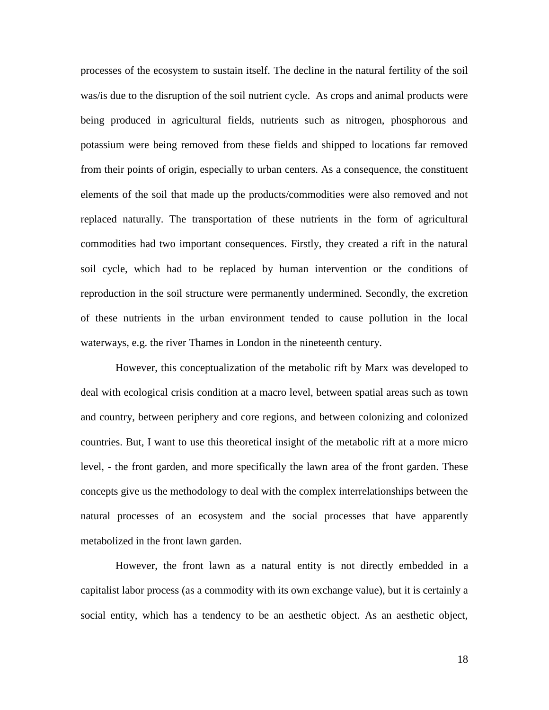processes of the ecosystem to sustain itself. The decline in the natural fertility of the soil was/is due to the disruption of the soil nutrient cycle. As crops and animal products were being produced in agricultural fields, nutrients such as nitrogen, phosphorous and potassium were being removed from these fields and shipped to locations far removed from their points of origin, especially to urban centers. As a consequence, the constituent elements of the soil that made up the products/commodities were also removed and not replaced naturally. The transportation of these nutrients in the form of agricultural commodities had two important consequences. Firstly, they created a rift in the natural soil cycle, which had to be replaced by human intervention or the conditions of reproduction in the soil structure were permanently undermined. Secondly, the excretion of these nutrients in the urban environment tended to cause pollution in the local waterways, e.g. the river Thames in London in the nineteenth century.

However, this conceptualization of the metabolic rift by Marx was developed to deal with ecological crisis condition at a macro level, between spatial areas such as town and country, between periphery and core regions, and between colonizing and colonized countries. But, I want to use this theoretical insight of the metabolic rift at a more micro level, - the front garden, and more specifically the lawn area of the front garden. These concepts give us the methodology to deal with the complex interrelationships between the natural processes of an ecosystem and the social processes that have apparently metabolized in the front lawn garden.

However, the front lawn as a natural entity is not directly embedded in a capitalist labor process (as a commodity with its own exchange value), but it is certainly a social entity, which has a tendency to be an aesthetic object. As an aesthetic object,

18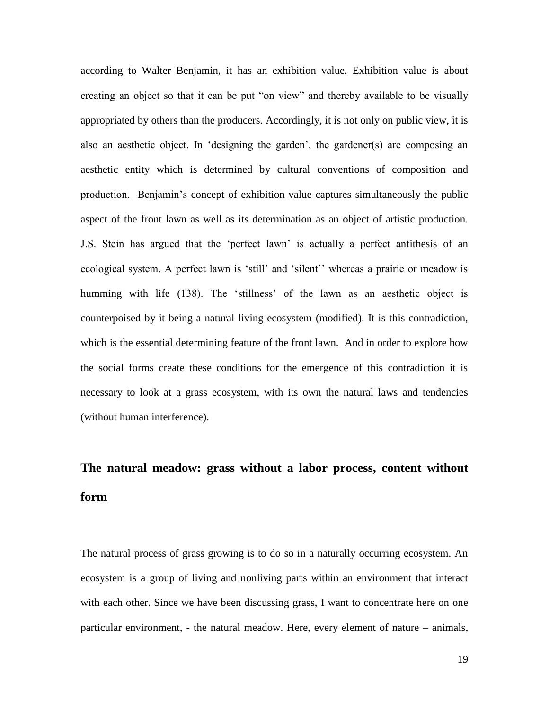according to Walter Benjamin, it has an exhibition value. Exhibition value is about creating an object so that it can be put "on view" and thereby available to be visually appropriated by others than the producers. Accordingly, it is not only on public view, it is also an aesthetic object. In 'designing the garden', the gardener(s) are composing an aesthetic entity which is determined by cultural conventions of composition and production. Benjamin's concept of exhibition value captures simultaneously the public aspect of the front lawn as well as its determination as an object of artistic production. J.S. Stein has argued that the 'perfect lawn' is actually a perfect antithesis of an ecological system. A perfect lawn is 'still' and 'silent'' whereas a prairie or meadow is humming with life (138). The 'stillness' of the lawn as an aesthetic object is counterpoised by it being a natural living ecosystem (modified). It is this contradiction, which is the essential determining feature of the front lawn. And in order to explore how the social forms create these conditions for the emergence of this contradiction it is necessary to look at a grass ecosystem, with its own the natural laws and tendencies (without human interference).

### **The natural meadow: grass without a labor process, content without form**

The natural process of grass growing is to do so in a naturally occurring ecosystem. An ecosystem is a group of living and nonliving parts within an environment that interact with each other. Since we have been discussing grass, I want to concentrate here on one particular environment, - the natural meadow. Here, every element of nature – animals,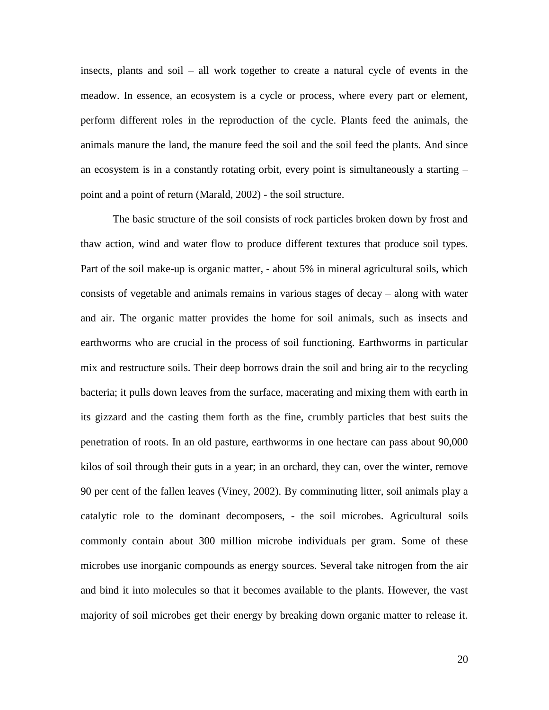insects, plants and soil – all work together to create a natural cycle of events in the meadow. In essence, an ecosystem is a cycle or process, where every part or element, perform different roles in the reproduction of the cycle. Plants feed the animals, the animals manure the land, the manure feed the soil and the soil feed the plants. And since an ecosystem is in a constantly rotating orbit, every point is simultaneously a starting – point and a point of return (Marald, 2002) - the soil structure.

The basic structure of the soil consists of rock particles broken down by frost and thaw action, wind and water flow to produce different textures that produce soil types. Part of the soil make-up is organic matter, - about 5% in mineral agricultural soils, which consists of vegetable and animals remains in various stages of decay – along with water and air. The organic matter provides the home for soil animals, such as insects and earthworms who are crucial in the process of soil functioning. Earthworms in particular mix and restructure soils. Their deep borrows drain the soil and bring air to the recycling bacteria; it pulls down leaves from the surface, macerating and mixing them with earth in its gizzard and the casting them forth as the fine, crumbly particles that best suits the penetration of roots. In an old pasture, earthworms in one hectare can pass about 90,000 kilos of soil through their guts in a year; in an orchard, they can, over the winter, remove 90 per cent of the fallen leaves (Viney, 2002). By comminuting litter, soil animals play a catalytic role to the dominant decomposers, - the soil microbes. Agricultural soils commonly contain about 300 million microbe individuals per gram. Some of these microbes use inorganic compounds as energy sources. Several take nitrogen from the air and bind it into molecules so that it becomes available to the plants. However, the vast majority of soil microbes get their energy by breaking down organic matter to release it.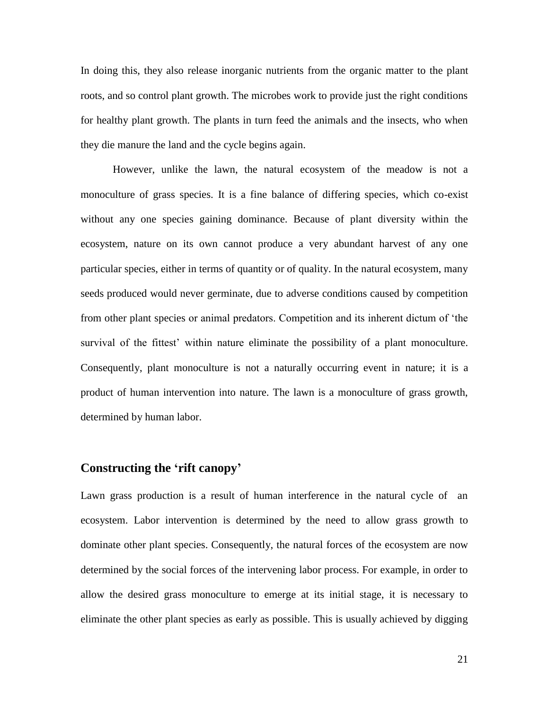In doing this, they also release inorganic nutrients from the organic matter to the plant roots, and so control plant growth. The microbes work to provide just the right conditions for healthy plant growth. The plants in turn feed the animals and the insects, who when they die manure the land and the cycle begins again.

However, unlike the lawn, the natural ecosystem of the meadow is not a monoculture of grass species. It is a fine balance of differing species, which co-exist without any one species gaining dominance. Because of plant diversity within the ecosystem, nature on its own cannot produce a very abundant harvest of any one particular species, either in terms of quantity or of quality. In the natural ecosystem, many seeds produced would never germinate, due to adverse conditions caused by competition from other plant species or animal predators. Competition and its inherent dictum of 'the survival of the fittest' within nature eliminate the possibility of a plant monoculture. Consequently, plant monoculture is not a naturally occurring event in nature; it is a product of human intervention into nature. The lawn is a monoculture of grass growth, determined by human labor.

### **Constructing the 'rift canopy'**

Lawn grass production is a result of human interference in the natural cycle of an ecosystem. Labor intervention is determined by the need to allow grass growth to dominate other plant species. Consequently, the natural forces of the ecosystem are now determined by the social forces of the intervening labor process. For example, in order to allow the desired grass monoculture to emerge at its initial stage, it is necessary to eliminate the other plant species as early as possible. This is usually achieved by digging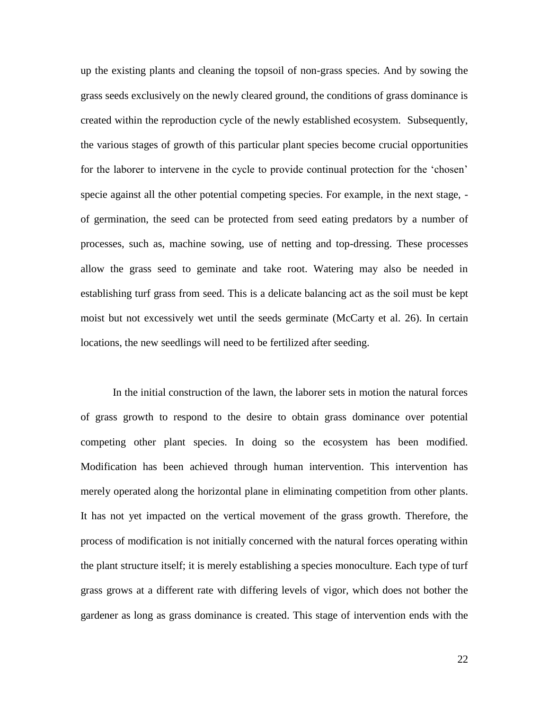up the existing plants and cleaning the topsoil of non-grass species. And by sowing the grass seeds exclusively on the newly cleared ground, the conditions of grass dominance is created within the reproduction cycle of the newly established ecosystem. Subsequently, the various stages of growth of this particular plant species become crucial opportunities for the laborer to intervene in the cycle to provide continual protection for the 'chosen' specie against all the other potential competing species. For example, in the next stage, of germination, the seed can be protected from seed eating predators by a number of processes, such as, machine sowing, use of netting and top-dressing. These processes allow the grass seed to geminate and take root. Watering may also be needed in establishing turf grass from seed. This is a delicate balancing act as the soil must be kept moist but not excessively wet until the seeds germinate (McCarty et al. 26). In certain locations, the new seedlings will need to be fertilized after seeding.

In the initial construction of the lawn, the laborer sets in motion the natural forces of grass growth to respond to the desire to obtain grass dominance over potential competing other plant species. In doing so the ecosystem has been modified. Modification has been achieved through human intervention. This intervention has merely operated along the horizontal plane in eliminating competition from other plants. It has not yet impacted on the vertical movement of the grass growth. Therefore, the process of modification is not initially concerned with the natural forces operating within the plant structure itself; it is merely establishing a species monoculture. Each type of turf grass grows at a different rate with differing levels of vigor, which does not bother the gardener as long as grass dominance is created. This stage of intervention ends with the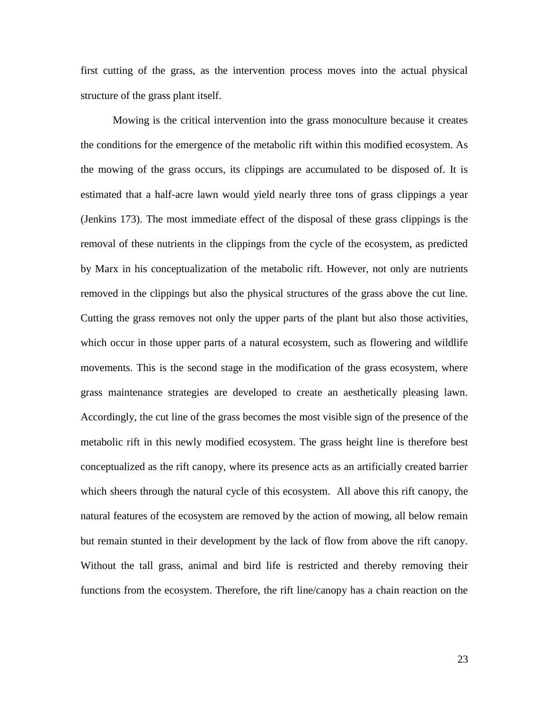first cutting of the grass, as the intervention process moves into the actual physical structure of the grass plant itself.

Mowing is the critical intervention into the grass monoculture because it creates the conditions for the emergence of the metabolic rift within this modified ecosystem. As the mowing of the grass occurs, its clippings are accumulated to be disposed of. It is estimated that a half-acre lawn would yield nearly three tons of grass clippings a year (Jenkins 173). The most immediate effect of the disposal of these grass clippings is the removal of these nutrients in the clippings from the cycle of the ecosystem, as predicted by Marx in his conceptualization of the metabolic rift. However, not only are nutrients removed in the clippings but also the physical structures of the grass above the cut line. Cutting the grass removes not only the upper parts of the plant but also those activities, which occur in those upper parts of a natural ecosystem, such as flowering and wildlife movements. This is the second stage in the modification of the grass ecosystem, where grass maintenance strategies are developed to create an aesthetically pleasing lawn. Accordingly, the cut line of the grass becomes the most visible sign of the presence of the metabolic rift in this newly modified ecosystem. The grass height line is therefore best conceptualized as the rift canopy, where its presence acts as an artificially created barrier which sheers through the natural cycle of this ecosystem. All above this rift canopy, the natural features of the ecosystem are removed by the action of mowing, all below remain but remain stunted in their development by the lack of flow from above the rift canopy. Without the tall grass, animal and bird life is restricted and thereby removing their functions from the ecosystem. Therefore, the rift line/canopy has a chain reaction on the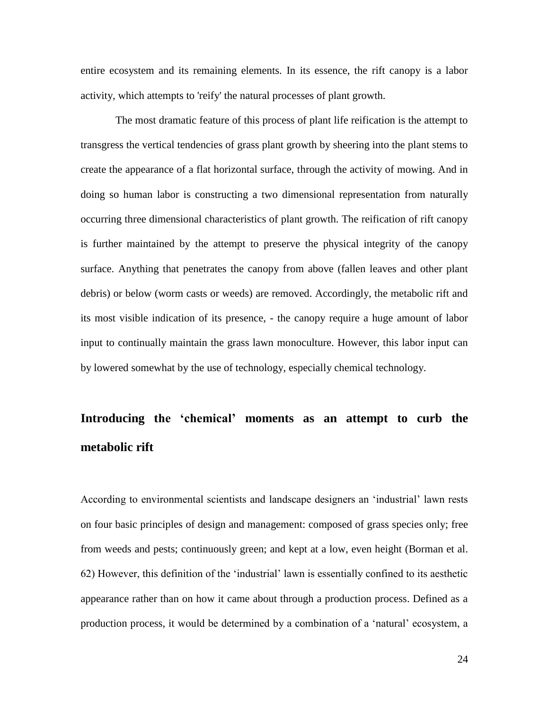entire ecosystem and its remaining elements. In its essence, the rift canopy is a labor activity, which attempts to 'reify' the natural processes of plant growth.

The most dramatic feature of this process of plant life reification is the attempt to transgress the vertical tendencies of grass plant growth by sheering into the plant stems to create the appearance of a flat horizontal surface, through the activity of mowing. And in doing so human labor is constructing a two dimensional representation from naturally occurring three dimensional characteristics of plant growth. The reification of rift canopy is further maintained by the attempt to preserve the physical integrity of the canopy surface. Anything that penetrates the canopy from above (fallen leaves and other plant debris) or below (worm casts or weeds) are removed. Accordingly, the metabolic rift and its most visible indication of its presence, - the canopy require a huge amount of labor input to continually maintain the grass lawn monoculture. However, this labor input can by lowered somewhat by the use of technology, especially chemical technology.

### **Introducing the 'chemical' moments as an attempt to curb the metabolic rift**

According to environmental scientists and landscape designers an 'industrial' lawn rests on four basic principles of design and management: composed of grass species only; free from weeds and pests; continuously green; and kept at a low, even height (Borman et al. 62) However, this definition of the 'industrial' lawn is essentially confined to its aesthetic appearance rather than on how it came about through a production process. Defined as a production process, it would be determined by a combination of a 'natural' ecosystem, a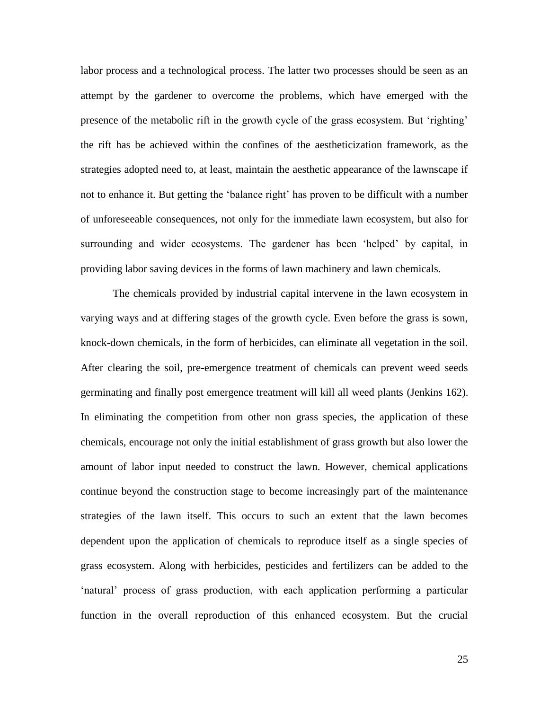labor process and a technological process. The latter two processes should be seen as an attempt by the gardener to overcome the problems, which have emerged with the presence of the metabolic rift in the growth cycle of the grass ecosystem. But 'righting' the rift has be achieved within the confines of the aestheticization framework, as the strategies adopted need to, at least, maintain the aesthetic appearance of the lawnscape if not to enhance it. But getting the 'balance right' has proven to be difficult with a number of unforeseeable consequences, not only for the immediate lawn ecosystem, but also for surrounding and wider ecosystems. The gardener has been 'helped' by capital, in providing labor saving devices in the forms of lawn machinery and lawn chemicals.

The chemicals provided by industrial capital intervene in the lawn ecosystem in varying ways and at differing stages of the growth cycle. Even before the grass is sown, knock-down chemicals, in the form of herbicides, can eliminate all vegetation in the soil. After clearing the soil, pre-emergence treatment of chemicals can prevent weed seeds germinating and finally post emergence treatment will kill all weed plants (Jenkins 162). In eliminating the competition from other non grass species, the application of these chemicals, encourage not only the initial establishment of grass growth but also lower the amount of labor input needed to construct the lawn. However, chemical applications continue beyond the construction stage to become increasingly part of the maintenance strategies of the lawn itself. This occurs to such an extent that the lawn becomes dependent upon the application of chemicals to reproduce itself as a single species of grass ecosystem. Along with herbicides, pesticides and fertilizers can be added to the 'natural' process of grass production, with each application performing a particular function in the overall reproduction of this enhanced ecosystem. But the crucial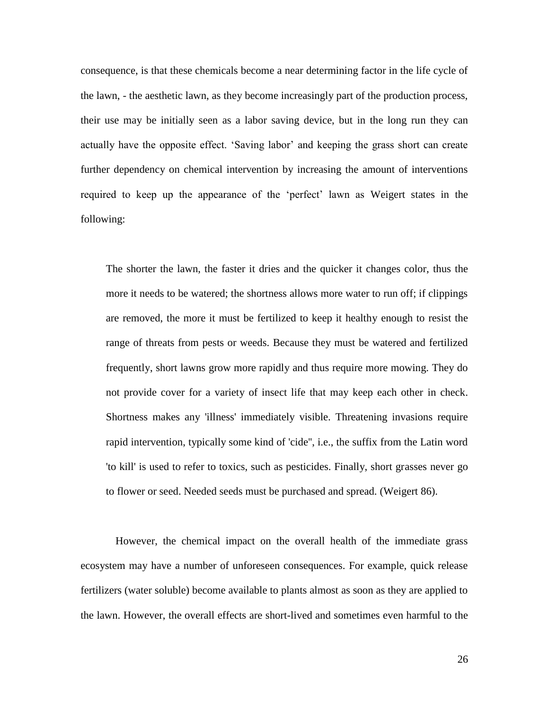consequence, is that these chemicals become a near determining factor in the life cycle of the lawn, - the aesthetic lawn, as they become increasingly part of the production process, their use may be initially seen as a labor saving device, but in the long run they can actually have the opposite effect. 'Saving labor' and keeping the grass short can create further dependency on chemical intervention by increasing the amount of interventions required to keep up the appearance of the 'perfect' lawn as Weigert states in the following:

The shorter the lawn, the faster it dries and the quicker it changes color, thus the more it needs to be watered; the shortness allows more water to run off; if clippings are removed, the more it must be fertilized to keep it healthy enough to resist the range of threats from pests or weeds. Because they must be watered and fertilized frequently, short lawns grow more rapidly and thus require more mowing. They do not provide cover for a variety of insect life that may keep each other in check. Shortness makes any 'illness' immediately visible. Threatening invasions require rapid intervention, typically some kind of 'cide'', i.e., the suffix from the Latin word 'to kill' is used to refer to toxics, such as pesticides. Finally, short grasses never go to flower or seed. Needed seeds must be purchased and spread. (Weigert 86).

However, the chemical impact on the overall health of the immediate grass ecosystem may have a number of unforeseen consequences. For example, quick release fertilizers (water soluble) become available to plants almost as soon as they are applied to the lawn. However, the overall effects are short-lived and sometimes even harmful to the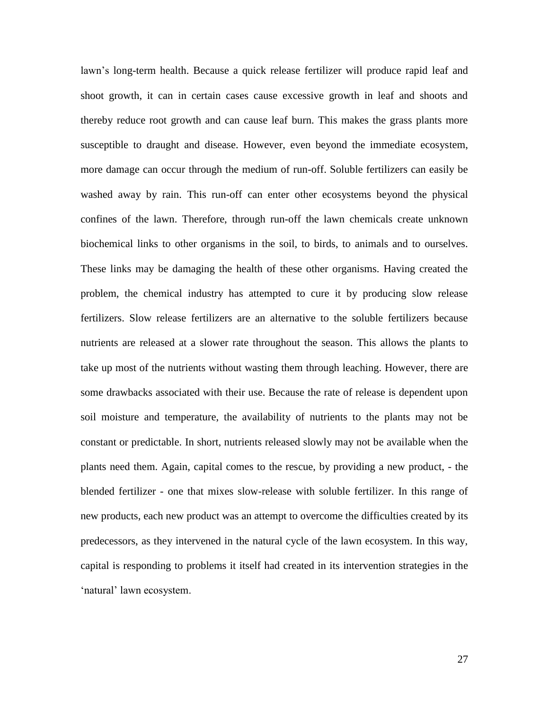lawn's long-term health. Because a quick release fertilizer will produce rapid leaf and shoot growth, it can in certain cases cause excessive growth in leaf and shoots and thereby reduce root growth and can cause leaf burn. This makes the grass plants more susceptible to draught and disease. However, even beyond the immediate ecosystem, more damage can occur through the medium of run-off. Soluble fertilizers can easily be washed away by rain. This run-off can enter other ecosystems beyond the physical confines of the lawn. Therefore, through run-off the lawn chemicals create unknown biochemical links to other organisms in the soil, to birds, to animals and to ourselves. These links may be damaging the health of these other organisms. Having created the problem, the chemical industry has attempted to cure it by producing slow release fertilizers. Slow release fertilizers are an alternative to the soluble fertilizers because nutrients are released at a slower rate throughout the season. This allows the plants to take up most of the nutrients without wasting them through leaching. However, there are some drawbacks associated with their use. Because the rate of release is dependent upon soil moisture and temperature, the availability of nutrients to the plants may not be constant or predictable. In short, nutrients released slowly may not be available when the plants need them. Again, capital comes to the rescue, by providing a new product, - the blended fertilizer - one that mixes slow-release with soluble fertilizer. In this range of new products, each new product was an attempt to overcome the difficulties created by its predecessors, as they intervened in the natural cycle of the lawn ecosystem. In this way, capital is responding to problems it itself had created in its intervention strategies in the 'natural' lawn ecosystem.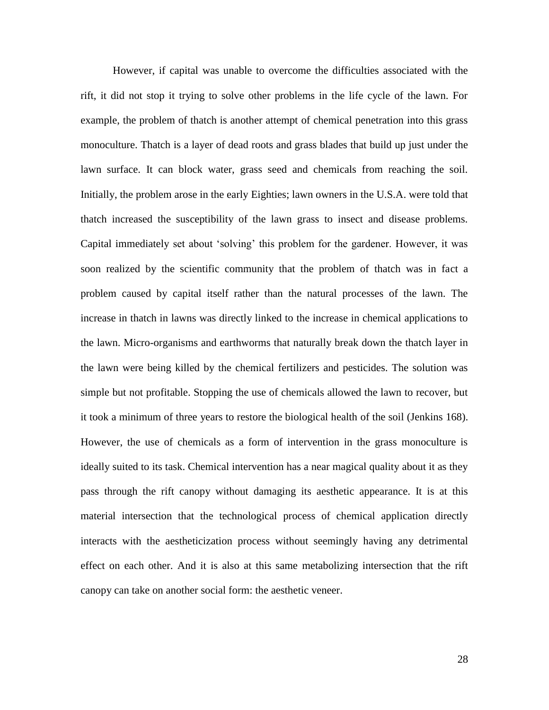However, if capital was unable to overcome the difficulties associated with the rift, it did not stop it trying to solve other problems in the life cycle of the lawn. For example, the problem of thatch is another attempt of chemical penetration into this grass monoculture. Thatch is a layer of dead roots and grass blades that build up just under the lawn surface. It can block water, grass seed and chemicals from reaching the soil. Initially, the problem arose in the early Eighties; lawn owners in the U.S.A. were told that thatch increased the susceptibility of the lawn grass to insect and disease problems. Capital immediately set about 'solving' this problem for the gardener. However, it was soon realized by the scientific community that the problem of thatch was in fact a problem caused by capital itself rather than the natural processes of the lawn. The increase in thatch in lawns was directly linked to the increase in chemical applications to the lawn. Micro-organisms and earthworms that naturally break down the thatch layer in the lawn were being killed by the chemical fertilizers and pesticides. The solution was simple but not profitable. Stopping the use of chemicals allowed the lawn to recover, but it took a minimum of three years to restore the biological health of the soil (Jenkins 168). However, the use of chemicals as a form of intervention in the grass monoculture is ideally suited to its task. Chemical intervention has a near magical quality about it as they pass through the rift canopy without damaging its aesthetic appearance. It is at this material intersection that the technological process of chemical application directly interacts with the aestheticization process without seemingly having any detrimental effect on each other. And it is also at this same metabolizing intersection that the rift canopy can take on another social form: the aesthetic veneer.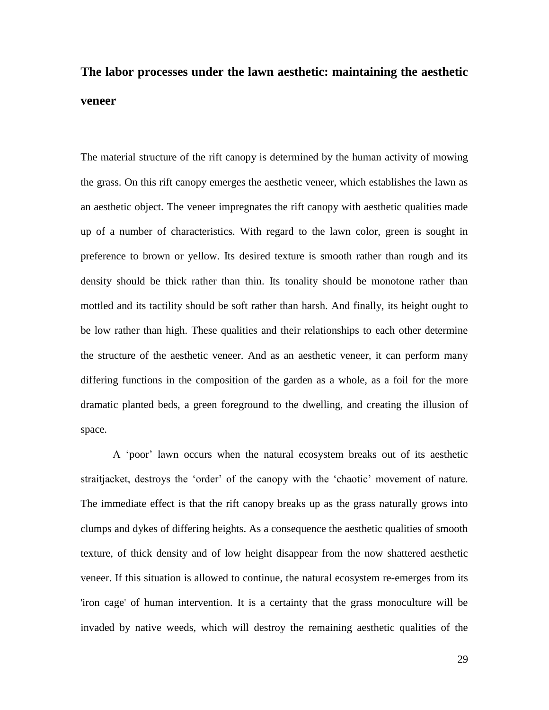### **The labor processes under the lawn aesthetic: maintaining the aesthetic veneer**

The material structure of the rift canopy is determined by the human activity of mowing the grass. On this rift canopy emerges the aesthetic veneer, which establishes the lawn as an aesthetic object. The veneer impregnates the rift canopy with aesthetic qualities made up of a number of characteristics. With regard to the lawn color, green is sought in preference to brown or yellow. Its desired texture is smooth rather than rough and its density should be thick rather than thin. Its tonality should be monotone rather than mottled and its tactility should be soft rather than harsh. And finally, its height ought to be low rather than high. These qualities and their relationships to each other determine the structure of the aesthetic veneer. And as an aesthetic veneer, it can perform many differing functions in the composition of the garden as a whole, as a foil for the more dramatic planted beds, a green foreground to the dwelling, and creating the illusion of space.

A 'poor' lawn occurs when the natural ecosystem breaks out of its aesthetic straitjacket, destroys the 'order' of the canopy with the 'chaotic' movement of nature. The immediate effect is that the rift canopy breaks up as the grass naturally grows into clumps and dykes of differing heights. As a consequence the aesthetic qualities of smooth texture, of thick density and of low height disappear from the now shattered aesthetic veneer. If this situation is allowed to continue, the natural ecosystem re-emerges from its 'iron cage' of human intervention. It is a certainty that the grass monoculture will be invaded by native weeds, which will destroy the remaining aesthetic qualities of the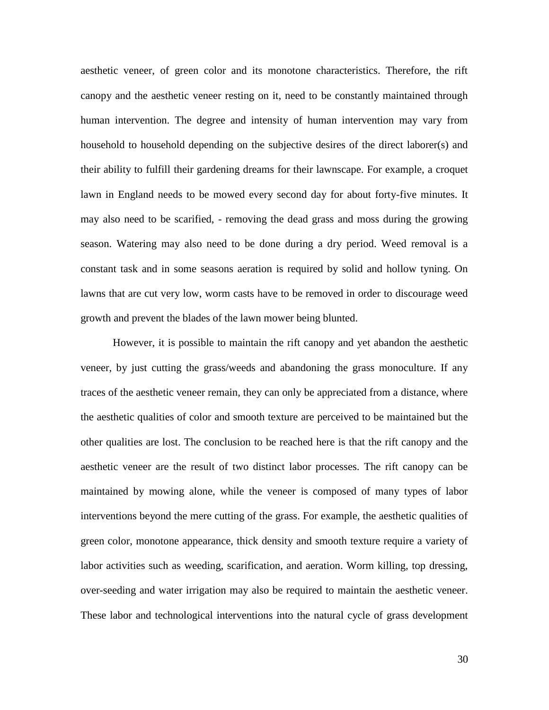aesthetic veneer, of green color and its monotone characteristics. Therefore, the rift canopy and the aesthetic veneer resting on it, need to be constantly maintained through human intervention. The degree and intensity of human intervention may vary from household to household depending on the subjective desires of the direct laborer(s) and their ability to fulfill their gardening dreams for their lawnscape. For example, a croquet lawn in England needs to be mowed every second day for about forty-five minutes. It may also need to be scarified, - removing the dead grass and moss during the growing season. Watering may also need to be done during a dry period. Weed removal is a constant task and in some seasons aeration is required by solid and hollow tyning. On lawns that are cut very low, worm casts have to be removed in order to discourage weed growth and prevent the blades of the lawn mower being blunted.

However, it is possible to maintain the rift canopy and yet abandon the aesthetic veneer, by just cutting the grass/weeds and abandoning the grass monoculture. If any traces of the aesthetic veneer remain, they can only be appreciated from a distance, where the aesthetic qualities of color and smooth texture are perceived to be maintained but the other qualities are lost. The conclusion to be reached here is that the rift canopy and the aesthetic veneer are the result of two distinct labor processes. The rift canopy can be maintained by mowing alone, while the veneer is composed of many types of labor interventions beyond the mere cutting of the grass. For example, the aesthetic qualities of green color, monotone appearance, thick density and smooth texture require a variety of labor activities such as weeding, scarification, and aeration. Worm killing, top dressing, over-seeding and water irrigation may also be required to maintain the aesthetic veneer. These labor and technological interventions into the natural cycle of grass development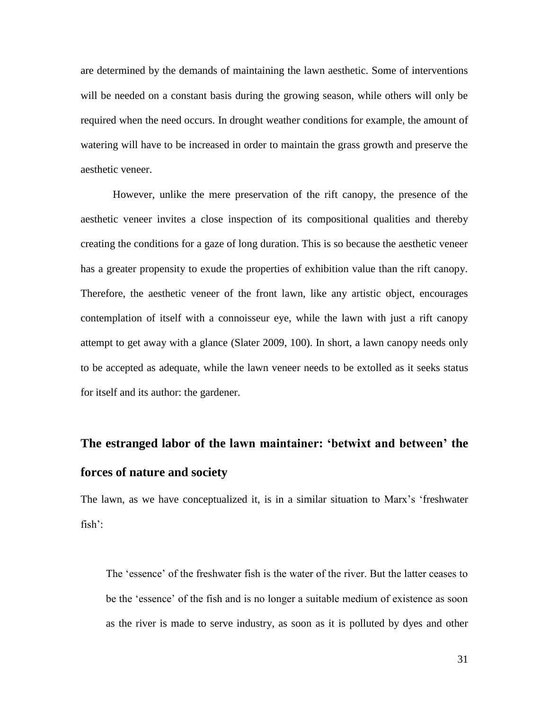are determined by the demands of maintaining the lawn aesthetic. Some of interventions will be needed on a constant basis during the growing season, while others will only be required when the need occurs. In drought weather conditions for example, the amount of watering will have to be increased in order to maintain the grass growth and preserve the aesthetic veneer.

However, unlike the mere preservation of the rift canopy, the presence of the aesthetic veneer invites a close inspection of its compositional qualities and thereby creating the conditions for a gaze of long duration. This is so because the aesthetic veneer has a greater propensity to exude the properties of exhibition value than the rift canopy. Therefore, the aesthetic veneer of the front lawn, like any artistic object, encourages contemplation of itself with a connoisseur eye, while the lawn with just a rift canopy attempt to get away with a glance (Slater 2009, 100). In short, a lawn canopy needs only to be accepted as adequate, while the lawn veneer needs to be extolled as it seeks status for itself and its author: the gardener.

### **The estranged labor of the lawn maintainer: 'betwixt and between' the forces of nature and society**

The lawn, as we have conceptualized it, is in a similar situation to Marx's 'freshwater fish':

The 'essence' of the freshwater fish is the water of the river. But the latter ceases to be the 'essence' of the fish and is no longer a suitable medium of existence as soon as the river is made to serve industry, as soon as it is polluted by dyes and other

31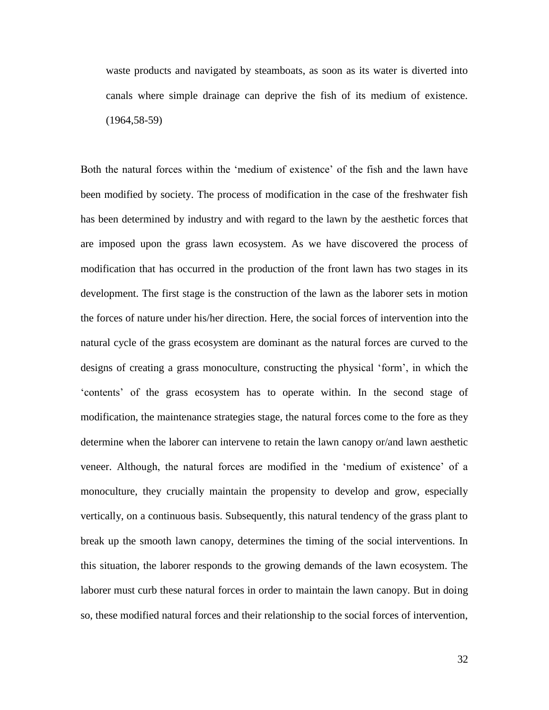waste products and navigated by steamboats, as soon as its water is diverted into canals where simple drainage can deprive the fish of its medium of existence. (1964,58-59)

Both the natural forces within the 'medium of existence' of the fish and the lawn have been modified by society. The process of modification in the case of the freshwater fish has been determined by industry and with regard to the lawn by the aesthetic forces that are imposed upon the grass lawn ecosystem. As we have discovered the process of modification that has occurred in the production of the front lawn has two stages in its development. The first stage is the construction of the lawn as the laborer sets in motion the forces of nature under his/her direction. Here, the social forces of intervention into the natural cycle of the grass ecosystem are dominant as the natural forces are curved to the designs of creating a grass monoculture, constructing the physical 'form', in which the 'contents' of the grass ecosystem has to operate within. In the second stage of modification, the maintenance strategies stage, the natural forces come to the fore as they determine when the laborer can intervene to retain the lawn canopy or/and lawn aesthetic veneer. Although, the natural forces are modified in the 'medium of existence' of a monoculture, they crucially maintain the propensity to develop and grow, especially vertically, on a continuous basis. Subsequently, this natural tendency of the grass plant to break up the smooth lawn canopy, determines the timing of the social interventions. In this situation, the laborer responds to the growing demands of the lawn ecosystem. The laborer must curb these natural forces in order to maintain the lawn canopy. But in doing so, these modified natural forces and their relationship to the social forces of intervention,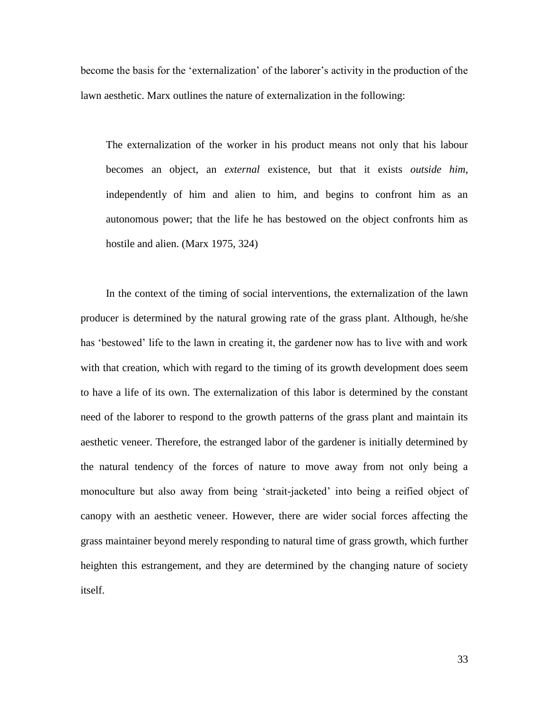become the basis for the 'externalization' of the laborer's activity in the production of the lawn aesthetic. Marx outlines the nature of externalization in the following:

The externalization of the worker in his product means not only that his labour becomes an object, an *external* existence, but that it exists *outside him*, independently of him and alien to him, and begins to confront him as an autonomous power; that the life he has bestowed on the object confronts him as hostile and alien. (Marx 1975, 324)

In the context of the timing of social interventions, the externalization of the lawn producer is determined by the natural growing rate of the grass plant. Although, he/she has 'bestowed' life to the lawn in creating it, the gardener now has to live with and work with that creation, which with regard to the timing of its growth development does seem to have a life of its own. The externalization of this labor is determined by the constant need of the laborer to respond to the growth patterns of the grass plant and maintain its aesthetic veneer. Therefore, the estranged labor of the gardener is initially determined by the natural tendency of the forces of nature to move away from not only being a monoculture but also away from being 'strait-jacketed' into being a reified object of canopy with an aesthetic veneer. However, there are wider social forces affecting the grass maintainer beyond merely responding to natural time of grass growth, which further heighten this estrangement, and they are determined by the changing nature of society itself.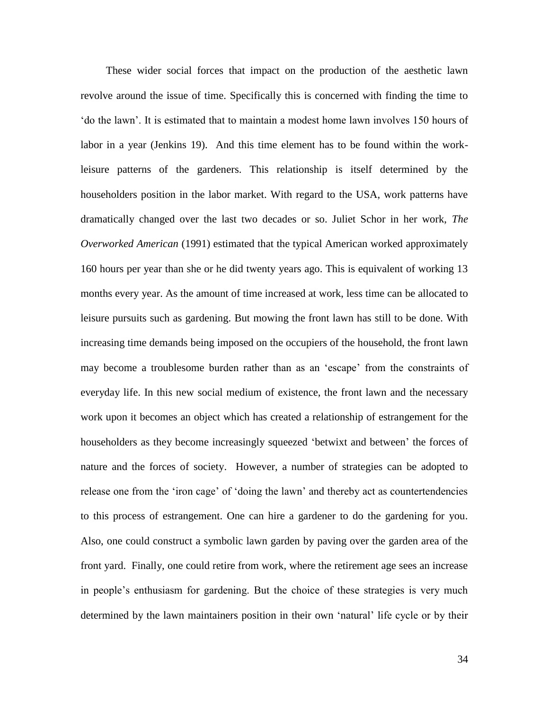These wider social forces that impact on the production of the aesthetic lawn revolve around the issue of time. Specifically this is concerned with finding the time to 'do the lawn'. It is estimated that to maintain a modest home lawn involves 150 hours of labor in a year (Jenkins 19). And this time element has to be found within the workleisure patterns of the gardeners. This relationship is itself determined by the householders position in the labor market. With regard to the USA, work patterns have dramatically changed over the last two decades or so. Juliet Schor in her work, *The Overworked American* (1991) estimated that the typical American worked approximately 160 hours per year than she or he did twenty years ago. This is equivalent of working 13 months every year. As the amount of time increased at work, less time can be allocated to leisure pursuits such as gardening. But mowing the front lawn has still to be done. With increasing time demands being imposed on the occupiers of the household, the front lawn may become a troublesome burden rather than as an 'escape' from the constraints of everyday life. In this new social medium of existence, the front lawn and the necessary work upon it becomes an object which has created a relationship of estrangement for the householders as they become increasingly squeezed 'betwixt and between' the forces of nature and the forces of society. However, a number of strategies can be adopted to release one from the 'iron cage' of 'doing the lawn' and thereby act as countertendencies to this process of estrangement. One can hire a gardener to do the gardening for you. Also, one could construct a symbolic lawn garden by paving over the garden area of the front yard. Finally, one could retire from work, where the retirement age sees an increase in people's enthusiasm for gardening. But the choice of these strategies is very much determined by the lawn maintainers position in their own 'natural' life cycle or by their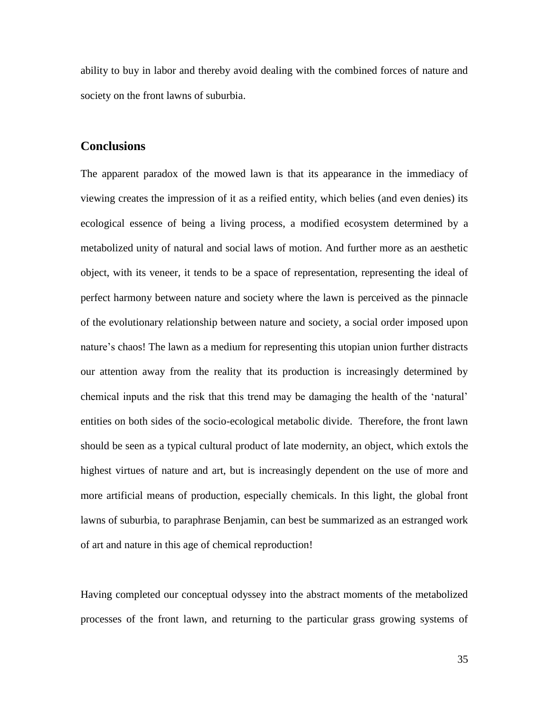ability to buy in labor and thereby avoid dealing with the combined forces of nature and society on the front lawns of suburbia.

#### **Conclusions**

The apparent paradox of the mowed lawn is that its appearance in the immediacy of viewing creates the impression of it as a reified entity, which belies (and even denies) its ecological essence of being a living process, a modified ecosystem determined by a metabolized unity of natural and social laws of motion. And further more as an aesthetic object, with its veneer, it tends to be a space of representation, representing the ideal of perfect harmony between nature and society where the lawn is perceived as the pinnacle of the evolutionary relationship between nature and society, a social order imposed upon nature's chaos! The lawn as a medium for representing this utopian union further distracts our attention away from the reality that its production is increasingly determined by chemical inputs and the risk that this trend may be damaging the health of the 'natural' entities on both sides of the socio-ecological metabolic divide. Therefore, the front lawn should be seen as a typical cultural product of late modernity, an object, which extols the highest virtues of nature and art, but is increasingly dependent on the use of more and more artificial means of production, especially chemicals. In this light, the global front lawns of suburbia, to paraphrase Benjamin, can best be summarized as an estranged work of art and nature in this age of chemical reproduction!

Having completed our conceptual odyssey into the abstract moments of the metabolized processes of the front lawn, and returning to the particular grass growing systems of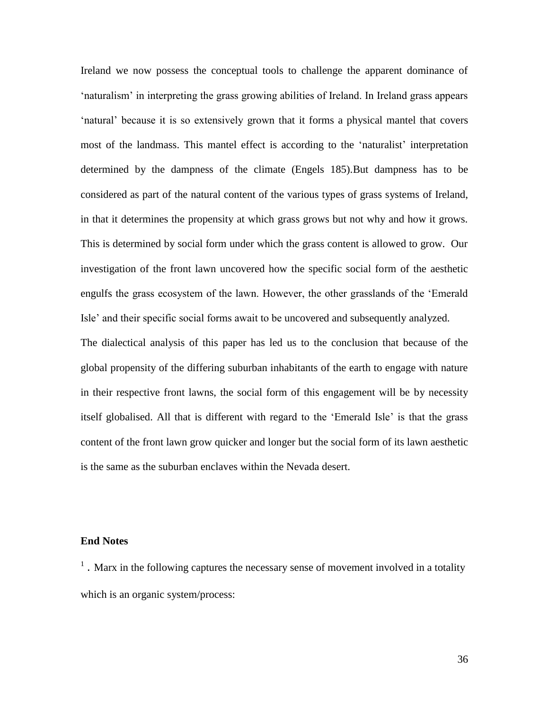Ireland we now possess the conceptual tools to challenge the apparent dominance of 'naturalism' in interpreting the grass growing abilities of Ireland. In Ireland grass appears 'natural' because it is so extensively grown that it forms a physical mantel that covers most of the landmass. This mantel effect is according to the 'naturalist' interpretation determined by the dampness of the climate (Engels 185).But dampness has to be considered as part of the natural content of the various types of grass systems of Ireland, in that it determines the propensity at which grass grows but not why and how it grows. This is determined by social form under which the grass content is allowed to grow. Our investigation of the front lawn uncovered how the specific social form of the aesthetic engulfs the grass ecosystem of the lawn. However, the other grasslands of the 'Emerald Isle' and their specific social forms await to be uncovered and subsequently analyzed.

The dialectical analysis of this paper has led us to the conclusion that because of the global propensity of the differing suburban inhabitants of the earth to engage with nature in their respective front lawns, the social form of this engagement will be by necessity itself globalised. All that is different with regard to the 'Emerald Isle' is that the grass content of the front lawn grow quicker and longer but the social form of its lawn aesthetic is the same as the suburban enclaves within the Nevada desert.

#### **End Notes**

 $<sup>1</sup>$ . Marx in the following captures the necessary sense of movement involved in a totality</sup> which is an organic system/process: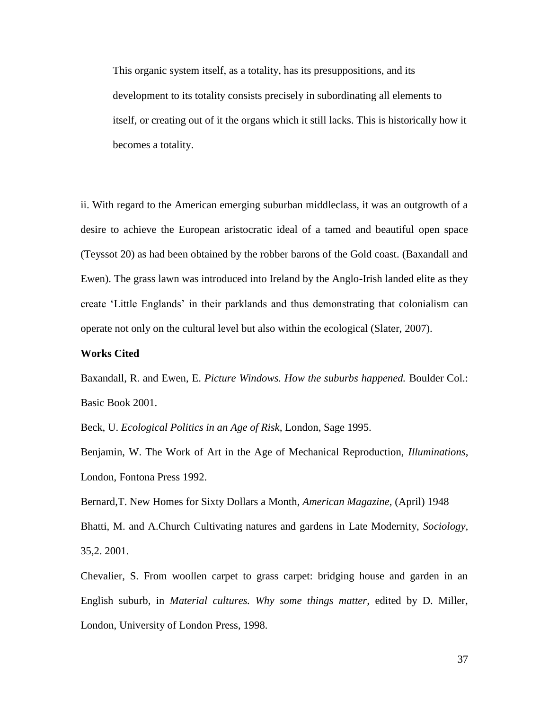This organic system itself, as a totality, has its presuppositions, and its development to its totality consists precisely in subordinating all elements to itself, or creating out of it the organs which it still lacks. This is historically how it becomes a totality.

ii. With regard to the American emerging suburban middleclass, it was an outgrowth of a desire to achieve the European aristocratic ideal of a tamed and beautiful open space (Teyssot 20) as had been obtained by the robber barons of the Gold coast. (Baxandall and Ewen). The grass lawn was introduced into Ireland by the Anglo-Irish landed elite as they create 'Little Englands' in their parklands and thus demonstrating that colonialism can operate not only on the cultural level but also within the ecological (Slater, 2007).

#### **Works Cited**

Baxandall, R. and Ewen, E. *Picture Windows. How the suburbs happened.* Boulder Col.: Basic Book 2001.

Beck, U. *Ecological Politics in an Age of Risk,* London, Sage 1995.

Benjamin, W. The Work of Art in the Age of Mechanical Reproduction, *Illuminations*, London, Fontona Press 1992.

Bernard,T. New Homes for Sixty Dollars a Month, *American Magazine,* (April) 1948

Bhatti, M. and A.Church Cultivating natures and gardens in Late Modernity, *Sociology,* 35,2. 2001.

Chevalier, S. From woollen carpet to grass carpet: bridging house and garden in an English suburb, in *Material cultures. Why some things matter,* edited by D. Miller, London, University of London Press, 1998.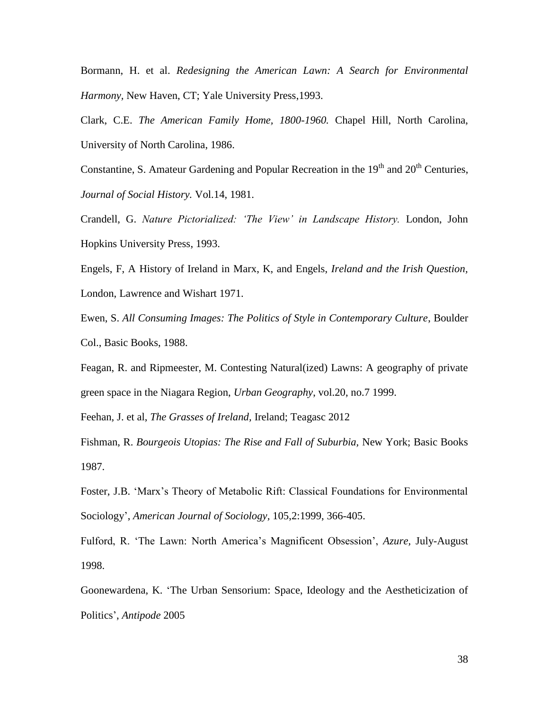Bormann, H. et al. *Redesigning the American Lawn: A Search for Environmental Harmony,* New Haven, CT; Yale University Press,1993.

Clark, C.E. *The American Family Home, 1800-1960.* Chapel Hill, North Carolina, University of North Carolina, 1986.

Constantine, S. Amateur Gardening and Popular Recreation in the  $19<sup>th</sup>$  and  $20<sup>th</sup>$  Centuries, *Journal of Social History.* Vol.14, 1981.

Crandell, G. *Nature Pictorialized: 'The View' in Landscape History.* London, John Hopkins University Press, 1993.

Engels, F, A History of Ireland in Marx, K, and Engels, *Ireland and the Irish Question,* London, Lawrence and Wishart 1971.

Ewen, S. *All Consuming Images: The Politics of Style in Contemporary Culture*, Boulder Col., Basic Books, 1988.

Feagan, R. and Ripmeester, M. Contesting Natural(ized) Lawns: A geography of private green space in the Niagara Region, *Urban Geography*, vol.20, no.7 1999.

Feehan, J. et al, *The Grasses of Ireland,* Ireland; Teagasc 2012

Fishman, R. *Bourgeois Utopias: The Rise and Fall of Suburbia,* New York; Basic Books 1987.

Foster, J.B. 'Marx's Theory of Metabolic Rift: Classical Foundations for Environmental Sociology', *American Journal of Sociology,* 105,2:1999, 366-405.

Fulford, R. 'The Lawn: North America's Magnificent Obsession', *Azure,* July-August 1998.

Goonewardena, K. 'The Urban Sensorium: Space, Ideology and the Aestheticization of Politics', *Antipode* 2005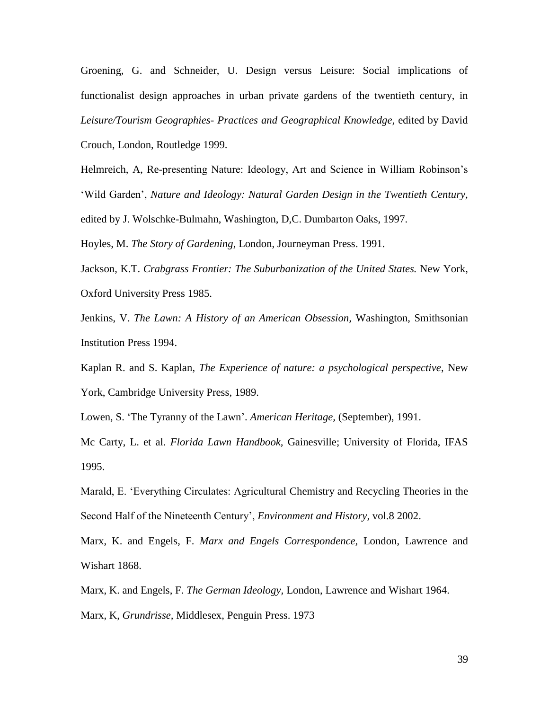Groening, G. and Schneider, U. Design versus Leisure: Social implications of functionalist design approaches in urban private gardens of the twentieth century, in *Leisure/Tourism Geographies- Practices and Geographical Knowledge,* edited by David Crouch, London, Routledge 1999.

Helmreich, A, Re-presenting Nature: Ideology, Art and Science in William Robinson's 'Wild Garden', *Nature and Ideology: Natural Garden Design in the Twentieth Century,*  edited by J. Wolschke-Bulmahn, Washington, D,C. Dumbarton Oaks, 1997.

Hoyles, M. *The Story of Gardening*, London, Journeyman Press. 1991.

Jackson, K.T. *Crabgrass Frontier: The Suburbanization of the United States.* New York, Oxford University Press 1985.

Jenkins, V. *The Lawn: A History of an American Obsession,* Washington, Smithsonian Institution Press 1994.

Kaplan R. and S. Kaplan, *The Experience of nature: a psychological perspective*, New York, Cambridge University Press, 1989.

Lowen, S. 'The Tyranny of the Lawn'. *American Heritage,* (September), 1991.

Mc Carty, L. et al. *Florida Lawn Handbook,* Gainesville; University of Florida, IFAS 1995.

Marald, E. 'Everything Circulates: Agricultural Chemistry and Recycling Theories in the Second Half of the Nineteenth Century', *Environment and History,* vol.8 2002.

Marx, K. and Engels, F. *Marx and Engels Correspondence,* London, Lawrence and Wishart 1868.

Marx, K. and Engels, F. *The German Ideology,* London, Lawrence and Wishart 1964.

Marx, K, *Grundrisse,* Middlesex, Penguin Press. 1973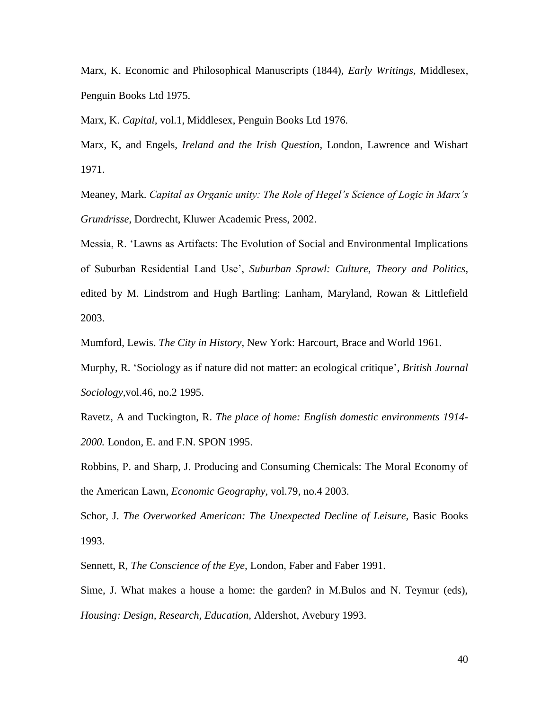Marx, K. Economic and Philosophical Manuscripts (1844), *Early Writings,* Middlesex, Penguin Books Ltd 1975.

Marx, K. *Capital,* vol.1, Middlesex, Penguin Books Ltd 1976.

Marx, K, and Engels, *Ireland and the Irish Question,* London, Lawrence and Wishart 1971.

Meaney, Mark. *Capital as Organic unity: The Role of Hegel's Science of Logic in Marx's Grundrisse*, Dordrecht, Kluwer Academic Press, 2002.

Messia, R. 'Lawns as Artifacts: The Evolution of Social and Environmental Implications of Suburban Residential Land Use', *Suburban Sprawl: Culture, Theory and Politics,*  edited by M. Lindstrom and Hugh Bartling: Lanham, Maryland, Rowan & Littlefield 2003.

Mumford, Lewis. *The City in History*, New York: Harcourt, Brace and World 1961.

Murphy, R. 'Sociology as if nature did not matter: an ecological critique', *British Journal Sociology,*vol.46, no.2 1995.

Ravetz, A and Tuckington, R. *The place of home: English domestic environments 1914- 2000.* London, E. and F.N. SPON 1995.

Robbins, P. and Sharp, J. Producing and Consuming Chemicals: The Moral Economy of the American Lawn, *Economic Geography,* vol.79, no.4 2003.

Schor, J. *The Overworked American: The Unexpected Decline of Leisure,* Basic Books 1993.

Sennett, R, *The Conscience of the Eye,* London, Faber and Faber 1991.

Sime, J. What makes a house a home: the garden? in M.Bulos and N. Teymur (eds), *Housing: Design, Research, Education,* Aldershot, Avebury 1993.